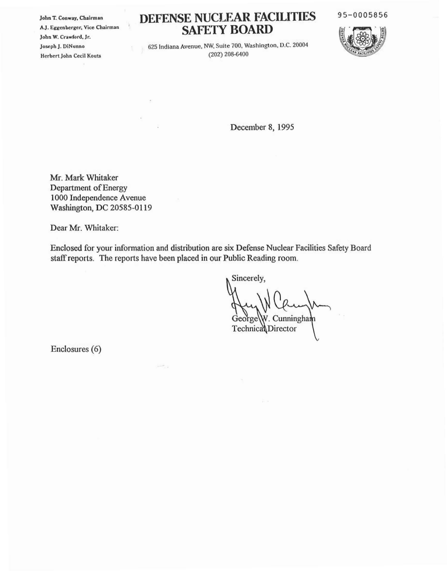**John T. Conway, Chairman AJ. Eggenberger, Vice Chairman**  $John W. Crawford, Jr.$ Joseph J. DiNunno **Herbert John Cceil Kouts**

¥

 $\bar{\nu}$ 

## **DEFENSE NUCLEAR FACILITIES SAFETY BOARD**

95-0005856



625 Indiana Avenue. NW. Suite 700. Washington. D.C. 20004 (202) 208-6400

December 8, 1995

Mr. Mark Whitaker Department of Energy 1000 Independence Avenue Washington, DC 20585-0119

Dear Mr. Whitaker:

Enclosed for your infonnation and distribution are six Defense Nuclear Facilities Safety Board staff reports. The reports have been placed in our Public Reading room.

 $\mu\in\mathcal{C}_{\alpha,\alpha}$ 

Sincerely,

 $George\W$ . Cunningham

Technica Director

Enclosures (6)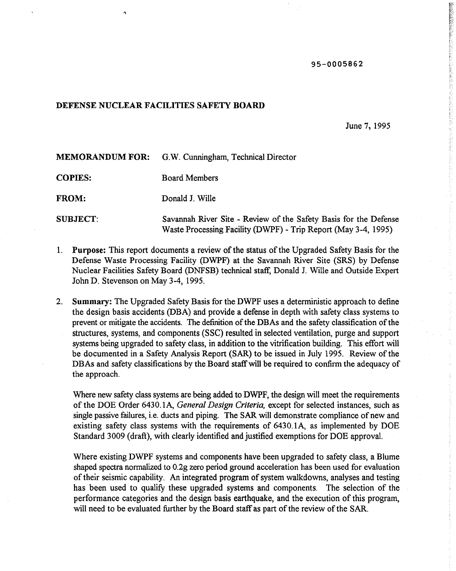## 95-0005862

## DEFENSE NUCLEAR FACILITIES SAFETY **BOARD**

June 7, 1995

| <b>MEMORANDUM FOR:</b> | G.W. Cunningham, Technical Director                                                                                                |
|------------------------|------------------------------------------------------------------------------------------------------------------------------------|
| <b>COPIES:</b>         | <b>Board Members</b>                                                                                                               |
| <b>FROM:</b>           | Donald J. Wille                                                                                                                    |
| <b>SUBJECT:</b>        | Savannah River Site - Review of the Safety Basis for the Defense<br>Waste Processing Facility (DWPF) - Trip Report (May 3-4, 1995) |

- 1. Purpose: This report documents a review of the status of the Upgraded Safety Basis for the Defense Waste Processing Facility (DWPF) at the Savannah River Site (SRS) by Defense Nuclear Facilities Safety Board (DNFSB) technical staff, Donald 1. Wille and Outside Expert John D. Stevenson on May 3-4, 1995.
- 2. Summary: The Upgraded Safety Basis for the DWPF uses a deterministic approach to define the design basis accidents (DBA) and provide a defense in depth with safety class systems to prevent or mitigate the accidents. The definition of the DBAs and the safety classification of the structures, systems, and components (SSC) resulted in selected ventilation, purge and support systems being upgraded to safety class, in addition to the vitrification building. This effort will be documented in a Safety Analysis Report (SAR) to be issued in July 1995. Review ofthe DBAs and safety classifications by the Board staff will be required to confirm the adequacy of the approach.

Where new safety class systems are being added to DWPF, the design will meet the requirements of the DOE Order 6430.1A, *General Design Criteria*, except for selected instances, such as single passive failures, i.e. ducts and piping. The SAR will demonstrate compliance of new and existing safety class systems with the requirements of 6430.1A, as implemented by DOE Standard 3009 (draft), with clearly identified and justified exemptions for DOE approval.

Where existing DWPF systems and components have been upgraded to safety class, a Blume shaped spectra normalized to 0.2g zero period ground acceleration has been used for evaluation of their seismic capability. An integrated program of system walkdowns, analyses and testing has been used to qualify these upgraded systems and components. The selection of the performance categories and the design basis earthquake, and the execution of this program, will need to be evaluated further by the Board staff as part of the review of the SAR.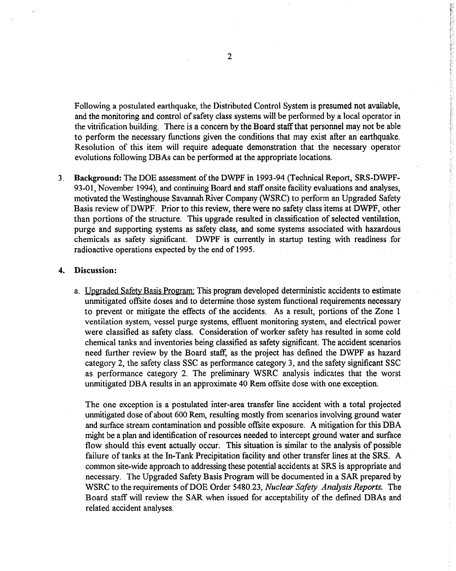Following a postulated earthquake, the Distributed Control System is presumed not available, and the monitoring and control of safety class systems will be performed by a local operator in the vitrification building. There is a concern by the Board staffthat personnel may not be able to perform the necessary functions given the conditions that may exist after an earthquake. Resolution of this item will require adequate demonstration that the necessary operator evolutions following DBAs can be performed at the appropriate locations.

3. Background: The DOE assessment of the DWPF in 1993-94 (Technical Report, SRS-DWPF-93-01, November 1994), and continuing Board and staff onsite facility evaluations and analyses, motivated the Westinghouse Savannah River Company (WSRC) to perform an Upgraded Safety Basis review ofDWPF. Prior to this review, there were no safety class items at DWPF, other than portions of the structure. This upgrade resulted in classification of selected ventilation, purge and supporting systems as safety class, and some systems associated with hazardous chemicals as safety significant. DWPF is currently in startup testing with readiness for radioactive operations expected by the end of 1995.

## 4. Discussion:

a. Upgraded Safety Basis Program: This program developed deterministic accidents to estimate unmitigated offsite doses and to determine those system functional requirements necessary to prevent or mitigate the effects of the accidents. As a result, portions of the Zone 1 ventilation system, vessel purge systems, effluent monitoring system, and electrical power were classified as safety class. Consideration of worker safety has resulted in some cold chemical tanks and inventories being classified as safety significant. The accident scenarios need further review by the Board staff, as the project has defined the DWPF as hazard category 2, the safety class SSC as performance category 3, and the safety significant SSC as performance category 2. The preliminary WSRC analysis indicates that the worst unmitigated DBA results in an approximate 40 Rem offsite dose with one exception.

The one exception is a postulated inter-area transfer line accident with a total projected unmitigated dose of about 600 Rem, resulting mostly from scenarios involving ground water and surface stream contamination and possible offsite exposure. A mitigation for this DBA might be a plan and identification of resources needed to intercept ground water and surface flow should this event actually occur. This situation is similar to the analysis of possible failure of tanks at the In-Tank Precipitation facility and other transfer lines at the SRS. A common site-wide approach to addressing these potential accidents at SRS is appropriate and necessary. The Upgraded Safety Basis Program will be documented in a SAR prepared by WSRC to the requirements ofDOE Order 5480.23, *Nuclear Safety Analysis Reports.* The Board staff will review the SAR when issued for acceptability of the defined DBAs and related accident analyses.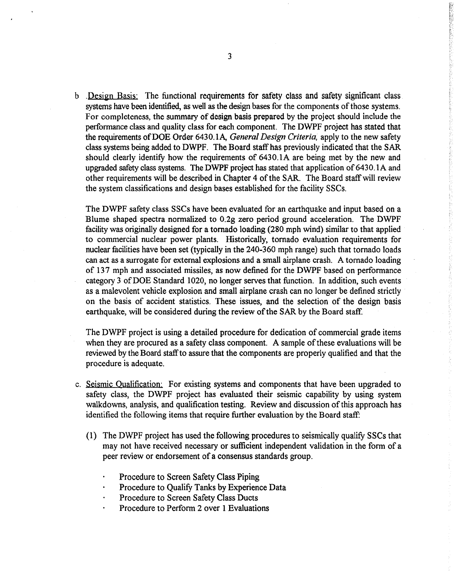b . Design Basis: The functional requirements for safety class and safety significant class systems have been identified, as well as the design bases for the components of those systems. For completeness, the summary of design basis prepared by the project should include the performance class and quality class for each component. The DWPF project has stated that the requirements ofDOE Order 6430.1A, *General Design Criteria,* apply to the new safety class systems being added to DWPF. The Board staff has previously indicated that the SAR should clearly identify how the requirements of 6430.IA are being met by the new and upgraded safety class systems. The DWPF project has stated that application of 6430.1A and other requirements will be described in Chapter 4 of the SAR. The Board staff will review the system classifications and design bases established for the facility SSCs.

The DWPF safety class SSCs have been evaluated for an earthquake and input based on a Blume shaped spectra normalized to 0.2g zero period ground acceleration. The DWPF facility was originally designed for a tornado loading (280 mph wind) similar to that applied to commercial nuclear power plants. Historically, tornado evaluation requirements for nuclear facilities have been set (typically in the 240-360 mph range) such that tornado loads can act as a surrogate for external explosions and a small airplane crash. A tornado loading of 137 mph and associated missiles, as now defined for the DWPF based on performance category 3 ofDOE Standard 1020, no longer serves that function. In addition, such events as a malevolent vehicle explosion and small airplane crash can no longer be defined strictly on the basis of accident statistics. These issues, and the selection of the design basis earthquake, will be considered during the review of the SAR by the Board staff.

The DWPF project is using a detailed procedure for dedication of commercial grade items when they are procured as a safety class component. A sample of these evaluations will be reviewed by the Board staffto assure that the components are properly qualified and that the procedure is adequate.

- c. Seismic Qualification' For existing systems and components that have been upgraded to safety class, the DWPF project has evaluated their seismic capability by using system walkdowns, analysis, and qualification testing. Review and discussion of this approach has identified the following items that require further evaluation by the Board staff:
	- (I) The DWPF project has used the following procedures to seismically qualify SSCs that may not have received necessary or sufficient independent validation in the form of a peer review or endorsement of a consensus standards group.
		- Procedure to Screen Safety Class Piping
		- Procedure to Qualify Tanks by Experience Data
		- Procedure to Screen Safety Class Ducts
		- Procedure to Perform 2 over I Evaluations

· 1990年第2回 1990年第2回